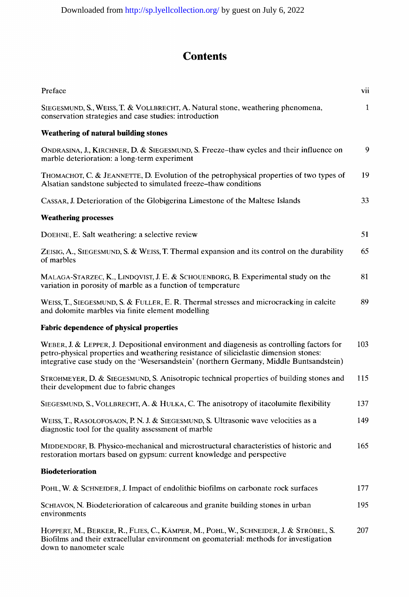## **Contents**

| Preface                                                                                                                                                                                                                                                                        | vii          |
|--------------------------------------------------------------------------------------------------------------------------------------------------------------------------------------------------------------------------------------------------------------------------------|--------------|
| SIEGESMUND, S., WEISS, T. & VOLLBRECHT, A. Natural stone, weathering phenomena,<br>conservation strategies and case studies: introduction                                                                                                                                      | $\mathbf{1}$ |
| <b>Weathering of natural building stones</b>                                                                                                                                                                                                                                   |              |
| ONDRASINA, J., KIRCHNER, D. & SIEGESMUND, S. Freeze-thaw cycles and their influence on<br>marble deterioration: a long-term experiment                                                                                                                                         | 9            |
| THOMACHOT, C. & JEANNETTE, D. Evolution of the petrophysical properties of two types of<br>Alsatian sandstone subjected to simulated freeze-thaw conditions                                                                                                                    | 19           |
| CASSAR, J. Deterioration of the Globigerina Limestone of the Maltese Islands                                                                                                                                                                                                   | 33           |
| <b>Weathering processes</b>                                                                                                                                                                                                                                                    |              |
| DOEHNE, E. Salt weathering: a selective review                                                                                                                                                                                                                                 | 51           |
| ZEISIG, A., SIEGESMUND, S. & WEISS, T. Thermal expansion and its control on the durability<br>of marbles                                                                                                                                                                       | 65           |
| MALAGA-STARZEC, K., LINDQVIST, J. E. & SCHOUENBORG, B. Experimental study on the<br>variation in porosity of marble as a function of temperature                                                                                                                               | 81           |
| WEISS, T., SIEGESMUND, S. & FULLER, E. R. Thermal stresses and microcracking in calcite<br>and dolomite marbles via finite element modelling                                                                                                                                   | 89           |
| <b>Fabric dependence of physical properties</b>                                                                                                                                                                                                                                |              |
| WEBER, J. & LEPPER, J. Depositional environment and diagenesis as controlling factors for<br>petro-physical properties and weathering resistance of siliciclastic dimension stones:<br>integrative case study on the 'Wesersandstein' (northern Germany, Middle Buntsandstein) | 103          |
| STROHMEYER, D. & SIEGESMUND, S. Anisotropic technical properties of building stones and<br>their development due to fabric changes                                                                                                                                             | 115          |
| SIEGESMUND, S., VOLLBRECHT, A. & HULKA, C. The anisotropy of itacolumite flexibility                                                                                                                                                                                           | 137          |
| WEISS, T., RASOLOFOSAON, P. N. J. & SIEGESMUND, S. Ultrasonic wave velocities as a<br>diagnostic tool for the quality assessment of marble                                                                                                                                     | 149          |
| MIDDENDORF, B. Physico-mechanical and microstructural characteristics of historic and<br>restoration mortars based on gypsum: current knowledge and perspective                                                                                                                | 165          |
| <b>Biodeterioration</b>                                                                                                                                                                                                                                                        |              |
| POHL, W. & SCHNEIDER, J. Impact of endolithic biofilms on carbonate rock surfaces                                                                                                                                                                                              | 177          |
| SCHIAVON, N. Biodeterioration of calcareous and granite building stones in urban<br>environments                                                                                                                                                                               | 195          |
| HOPPERT, M., BERKER, R., FLIES, C., KÄMPER, M., POHL, W., SCHNEIDER, J. & STRÖBEL, S.<br>Biofilms and their extracellular environment on geomaterial: methods for investigation                                                                                                | 207          |

down to nanometer scale